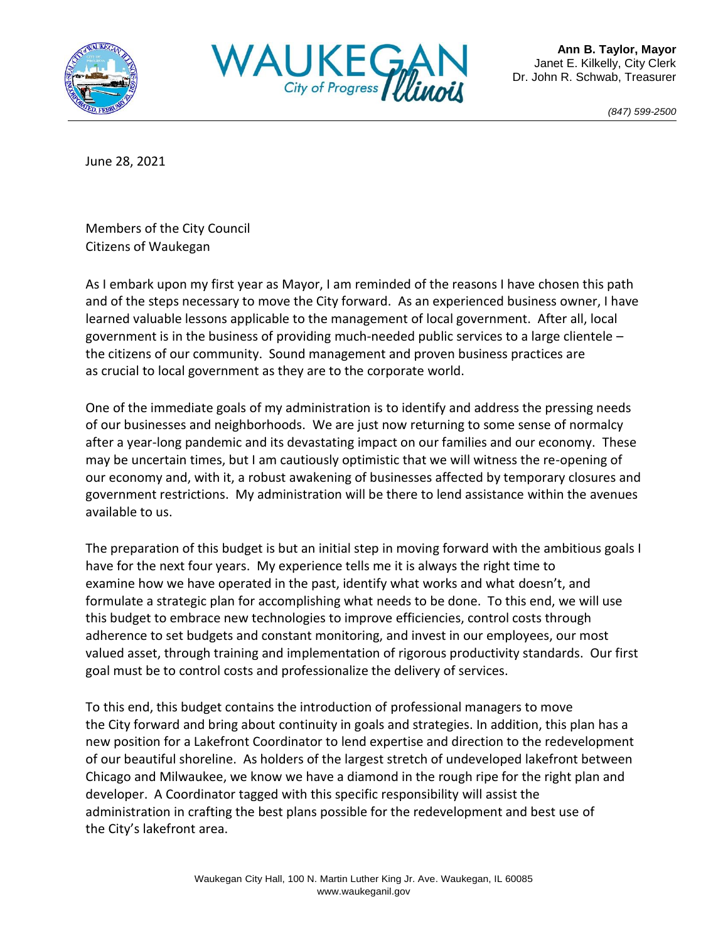



*(847) 599-2500*

June 28, 2021

Members of the City Council Citizens of Waukegan

As I embark upon my first year as Mayor, I am reminded of the reasons I have chosen this path and of the steps necessary to move the City forward. As an experienced business owner, I have learned valuable lessons applicable to the management of local government. After all, local government is in the business of providing much-needed public services to a large clientele – the citizens of our community. Sound management and proven business practices are as crucial to local government as they are to the corporate world.

One of the immediate goals of my administration is to identify and address the pressing needs of our businesses and neighborhoods. We are just now returning to some sense of normalcy after a year-long pandemic and its devastating impact on our families and our economy. These may be uncertain times, but I am cautiously optimistic that we will witness the re-opening of our economy and, with it, a robust awakening of businesses affected by temporary closures and government restrictions. My administration will be there to lend assistance within the avenues available to us.

The preparation of this budget is but an initial step in moving forward with the ambitious goals I have for the next four years. My experience tells me it is always the right time to examine how we have operated in the past, identify what works and what doesn't, and formulate a strategic plan for accomplishing what needs to be done. To this end, we will use this budget to embrace new technologies to improve efficiencies, control costs through adherence to set budgets and constant monitoring, and invest in our employees, our most valued asset, through training and implementation of rigorous productivity standards. Our first goal must be to control costs and professionalize the delivery of services.

To this end, this budget contains the introduction of professional managers to move the City forward and bring about continuity in goals and strategies. In addition, this plan has a new position for a Lakefront Coordinator to lend expertise and direction to the redevelopment of our beautiful shoreline. As holders of the largest stretch of undeveloped lakefront between Chicago and Milwaukee, we know we have a diamond in the rough ripe for the right plan and developer. A Coordinator tagged with this specific responsibility will assist the administration in crafting the best plans possible for the redevelopment and best use of the City's lakefront area.